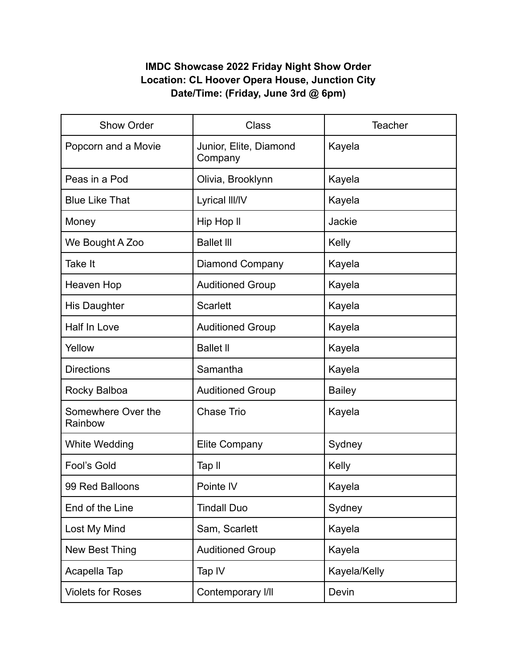## **IMDC Showcase 2022 Friday Night Show Order Location: CL Hoover Opera House, Junction City Date/Time: (Friday, June 3rd @ 6pm)**

| Show Order                    | <b>Class</b>                      | <b>Teacher</b> |
|-------------------------------|-----------------------------------|----------------|
| Popcorn and a Movie           | Junior, Elite, Diamond<br>Company | Kayela         |
| Peas in a Pod                 | Olivia, Brooklynn                 | Kayela         |
| <b>Blue Like That</b>         | Lyrical III/IV                    | Kayela         |
| Money                         | Hip Hop II                        | Jackie         |
| We Bought A Zoo               | <b>Ballet III</b>                 | Kelly          |
| Take It                       | <b>Diamond Company</b>            | Kayela         |
| Heaven Hop                    | <b>Auditioned Group</b>           | Kayela         |
| <b>His Daughter</b>           | <b>Scarlett</b>                   | Kayela         |
| Half In Love                  | <b>Auditioned Group</b>           | Kayela         |
| Yellow                        | <b>Ballet II</b>                  | Kayela         |
| <b>Directions</b>             | Samantha                          | Kayela         |
| Rocky Balboa                  | <b>Auditioned Group</b>           | <b>Bailey</b>  |
| Somewhere Over the<br>Rainbow | <b>Chase Trio</b>                 | Kayela         |
| White Wedding                 | <b>Elite Company</b>              | Sydney         |
| Fool's Gold                   | Tap II                            | Kelly          |
| 99 Red Balloons               | Pointe IV                         | Kayela         |
| End of the Line               | <b>Tindall Duo</b>                | Sydney         |
| Lost My Mind                  | Sam, Scarlett                     | Kayela         |
| New Best Thing                | <b>Auditioned Group</b>           | Kayela         |
| Acapella Tap                  | Tap IV                            | Kayela/Kelly   |
| <b>Violets for Roses</b>      | Contemporary I/II                 | Devin          |